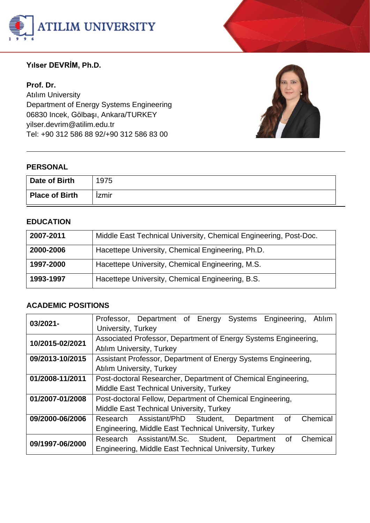

## **Yılser DEVRİM, Ph.D.**

**Prof. Dr.**  Atılım University Department of Energy Systems Engineering 06830 Incek, Gölbaşı, Ankara/TURKEY yilser.devri[m@atilim.edu.tr](mailto:ulug@bilkent.edu.tr) Tel: +90 312 586 88 92/+90 312 586 83 00



#### **PERSONAL**

| Date of Birth         | 1975         |
|-----------------------|--------------|
| <b>Place of Birth</b> | <b>Izmir</b> |

#### **EDUCATION**

| 2007-2011 | Middle East Technical University, Chemical Engineering, Post-Doc. |
|-----------|-------------------------------------------------------------------|
| 2000-2006 | Hacettepe University, Chemical Engineering, Ph.D.                 |
| 1997-2000 | Hacettepe University, Chemical Engineering, M.S.                  |
| 1993-1997 | Hacettepe University, Chemical Engineering, B.S.                  |

#### **ACADEMIC POSITIONS**

| 03/2021-        | Professor, Department of Energy<br>Systems Engineering,<br>Atılım    |
|-----------------|----------------------------------------------------------------------|
|                 | University, Turkey                                                   |
| 10/2015-02/2021 | Associated Professor, Department of Energy Systems Engineering,      |
|                 | <b>Atılım University, Turkey</b>                                     |
| 09/2013-10/2015 | Assistant Professor, Department of Energy Systems Engineering,       |
|                 | <b>Atilim University, Turkey</b>                                     |
| 01/2008-11/2011 | Post-doctoral Researcher, Department of Chemical Engineering,        |
|                 | Middle East Technical University, Turkey                             |
| 01/2007-01/2008 | Post-doctoral Fellow, Department of Chemical Engineering,            |
|                 | Middle East Technical University, Turkey                             |
| 09/2000-06/2006 | Chemical<br>Assistant/PhD Student,<br>Research<br>0f<br>Department   |
|                 | Engineering, Middle East Technical University, Turkey                |
| 09/1997-06/2000 | Chemical<br>Assistant/M.Sc. Student,<br>Research<br>Department<br>οf |
|                 | Engineering, Middle East Technical University, Turkey                |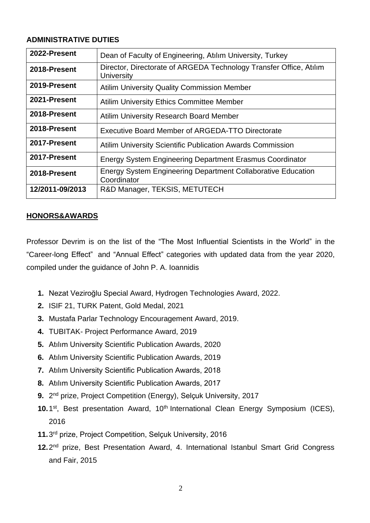#### **ADMINISTRATIVE DUTIES**

| 2022-Present    | Dean of Faculty of Engineering, Atılım University, Turkey                          |
|-----------------|------------------------------------------------------------------------------------|
| 2018-Present    | Director, Directorate of ARGEDA Technology Transfer Office, Atılım<br>University   |
| 2019-Present    | <b>Atilim University Quality Commission Member</b>                                 |
| 2021-Present    | <b>Atilim University Ethics Committee Member</b>                                   |
| 2018-Present    | <b>Atilim University Research Board Member</b>                                     |
| 2018-Present    | Executive Board Member of ARGEDA-TTO Directorate                                   |
| 2017-Present    | <b>Atilim University Scientific Publication Awards Commission</b>                  |
| 2017-Present    | <b>Energy System Engineering Department Erasmus Coordinator</b>                    |
| 2018-Present    | <b>Energy System Engineering Department Collaborative Education</b><br>Coordinator |
| 12/2011-09/2013 | R&D Manager, TEKSIS, METUTECH                                                      |

#### **HONORS&AWARDS**

Professor Devrim is on the list of the "The Most Influential Scientists in the World" in the "Career-long Effect" and "Annual Effect" categories with updated data from the year 2020, compiled under the guidance of John P. A. Ioannidis

- **1.** Nezat Veziroğlu Special Award, Hydrogen Technologies Award, 2022.
- **2.** ISIF 21, TURK Patent, Gold Medal, 2021
- **3.** Mustafa Parlar Technology [Encouragement Award,](https://tureng.com/tr/turkce-ingilizce/encouragement%20award) 2019.
- **4.** TUBITAK- Project Performance Award, 2019
- **5.** Atılım University Scientific Publication Awards, 2020
- **6.** Atılım University Scientific Publication Awards, 2019
- **7.** Atılım University Scientific Publication Awards, 2018
- **8.** Atılım University Scientific Publication Awards, 2017
- 9. 2<sup>nd</sup> prize, Project Competition (Energy), Selçuk University, 2017
- 10.1<sup>st</sup>, Best presentation Award, 10<sup>th</sup> International Clean Energy Symposium (ICES), 2016
- **11.**3 rd prize, Project Competition, Selçuk University, 2016
- 12.2<sup>nd</sup> prize, Best Presentation Award, 4. International Istanbul Smart Grid Congress and Fair, 2015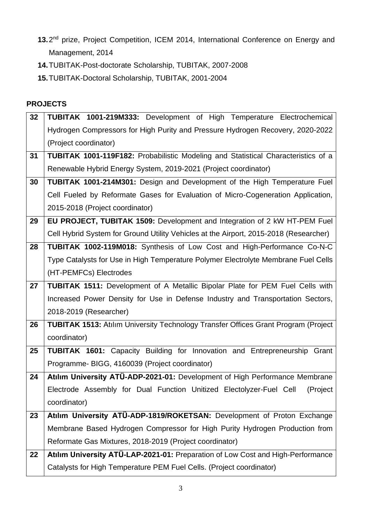- 13.2<sup>nd</sup> prize, Project Competition, ICEM 2014, International Conference on Energy and Management, 2014
- **14.**TUBITAK-Post-doctorate Scholarship, TUBITAK, 2007-2008
- **15.**TUBITAK-Doctoral Scholarship, TUBITAK, 2001-2004

### **PROJECTS**

| 32 | <b>TUBITAK 1001-219M333:</b> Development of High Temperature Electrochemical              |
|----|-------------------------------------------------------------------------------------------|
|    | Hydrogen Compressors for High Purity and Pressure Hydrogen Recovery, 2020-2022            |
|    | (Project coordinator)                                                                     |
| 31 | <b>TUBITAK 1001-119F182:</b> Probabilistic Modeling and Statistical Characteristics of a  |
|    | Renewable Hybrid Energy System, 2019-2021 (Project coordinator)                           |
| 30 | TUBITAK 1001-214M301: Design and Development of the High Temperature Fuel                 |
|    | Cell Fueled by Reformate Gases for Evaluation of Micro-Cogeneration Application,          |
|    | 2015-2018 (Project coordinator)                                                           |
| 29 | EU PROJECT, TUBITAK 1509: Development and Integration of 2 kW HT-PEM Fuel                 |
|    | Cell Hybrid System for Ground Utility Vehicles at the Airport, 2015-2018 (Researcher)     |
| 28 | TUBITAK 1002-119M018: Synthesis of Low Cost and High-Performance Co-N-C                   |
|    | Type Catalysts for Use in High Temperature Polymer Electrolyte Membrane Fuel Cells        |
|    | (HT-PEMFCs) Electrodes                                                                    |
| 27 | <b>TUBITAK 1511:</b> Development of A Metallic Bipolar Plate for PEM Fuel Cells with      |
|    | Increased Power Density for Use in Defense Industry and Transportation Sectors,           |
|    | 2018-2019 (Researcher)                                                                    |
| 26 | <b>TUBITAK 1513: Atilim University Technology Transfer Offices Grant Program (Project</b> |
|    | coordinator)                                                                              |
| 25 | <b>TUBITAK 1601:</b> Capacity Building for Innovation and Entrepreneurship<br>Grant       |
|    | Programme- BIGG, 4160039 (Project coordinator)                                            |
| 24 | Atılım University ATÜ-ADP-2021-01: Development of High Performance Membrane               |
|    | Electrode Assembly for Dual Function Unitized Electolyzer-Fuel Cell (Project              |
|    | coordinator)                                                                              |
| 23 | Atılım University ATÜ-ADP-1819/ROKETSAN: Development of Proton Exchange                   |
|    | Membrane Based Hydrogen Compressor for High Purity Hydrogen Production from               |
|    | Reformate Gas Mixtures, 2018-2019 (Project coordinator)                                   |
| 22 | Atılım University ATÜ-LAP-2021-01: Preparation of Low Cost and High-Performance           |
|    | Catalysts for High Temperature PEM Fuel Cells. (Project coordinator)                      |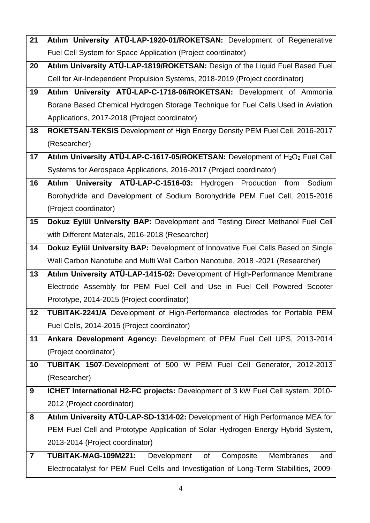| 21                      | Atılım University ATÜ-LAP-1920-01/ROKETSAN: Development of Regenerative                              |
|-------------------------|------------------------------------------------------------------------------------------------------|
|                         | Fuel Cell System for Space Application (Project coordinator)                                         |
| 20                      | Atılım University ATÜ-LAP-1819/ROKETSAN: Design of the Liquid Fuel Based Fuel                        |
|                         | Cell for Air-Independent Propulsion Systems, 2018-2019 (Project coordinator)                         |
| 19                      | Atılım University ATÜ-LAP-C-1718-06/ROKETSAN: Development of Ammonia                                 |
|                         | Borane Based Chemical Hydrogen Storage Technique for Fuel Cells Used in Aviation                     |
|                         | Applications, 2017-2018 (Project coordinator)                                                        |
| 18                      | ROKETSAN-TEKSIS Development of High Energy Density PEM Fuel Cell, 2016-2017                          |
|                         | (Researcher)                                                                                         |
| 17                      | Atılım University ATÜ-LAP-C-1617-05/ROKETSAN: Development of H <sub>2</sub> O <sub>2</sub> Fuel Cell |
|                         | Systems for Aerospace Applications, 2016-2017 (Project coordinator)                                  |
| 16                      | Atılım University ATÜ-LAP-C-1516-03: Hydrogen Production<br>from Sodium                              |
|                         | Borohydride and Development of Sodium Borohydride PEM Fuel Cell, 2015-2016                           |
|                         | (Project coordinator)                                                                                |
| 15                      | Dokuz Eylül University BAP: Development and Testing Direct Methanol Fuel Cell                        |
|                         | with Different Materials, 2016-2018 (Researcher)                                                     |
| 14                      | Dokuz Eylül University BAP: Development of Innovative Fuel Cells Based on Single                     |
|                         | Wall Carbon Nanotube and Multi Wall Carbon Nanotube, 2018 -2021 (Researcher)                         |
| 13                      | Atılım University ATÜ-LAP-1415-02: Development of High-Performance Membrane                          |
|                         | Electrode Assembly for PEM Fuel Cell and Use in Fuel Cell Powered Scooter                            |
|                         | Prototype, 2014-2015 (Project coordinator)                                                           |
| 12                      | TUBITAK-2241/A Development of High-Performance electrodes for Portable PEM                           |
|                         | Fuel Cells, 2014-2015 (Project coordinator)                                                          |
| 11                      | Ankara Development Agency: Development of PEM Fuel Cell UPS, 2013-2014                               |
|                         | (Project coordinator)                                                                                |
| 10                      | TUBITAK 1507-Development of 500 W PEM Fuel Cell Generator, 2012-2013                                 |
|                         | (Researcher)                                                                                         |
| 9                       | ICHET International H2-FC projects: Development of 3 kW Fuel Cell system, 2010-                      |
|                         | 2012 (Project coordinator)                                                                           |
| 8                       | Atılım University ATÜ-LAP-SD-1314-02: Development of High Performance MEA for                        |
|                         | PEM Fuel Cell and Prototype Application of Solar Hydrogen Energy Hybrid System,                      |
|                         | 2013-2014 (Project coordinator)                                                                      |
| $\overline{\mathbf{r}}$ | TUBITAK-MAG-109M221: Development<br>Composite<br>Membranes<br>0f<br>and                              |
|                         | Electrocatalyst for PEM Fuel Cells and Investigation of Long-Term Stabilities, 2009-                 |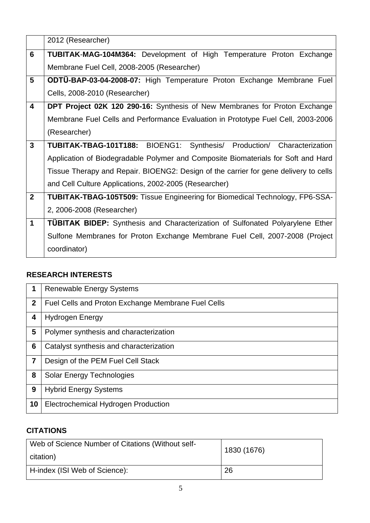|                         | 2012 (Researcher)                                                                    |
|-------------------------|--------------------------------------------------------------------------------------|
| $6\phantom{1}$          | <b>TUBITAK-MAG-104M364:</b> Development of High Temperature Proton Exchange          |
|                         | Membrane Fuel Cell, 2008-2005 (Researcher)                                           |
| 5                       | <b>ODTU-BAP-03-04-2008-07:</b> High Temperature Proton Exchange Membrane Fuel        |
|                         | Cells, 2008-2010 (Researcher)                                                        |
| $\overline{\mathbf{4}}$ | <b>DPT Project 02K 120 290-16:</b> Synthesis of New Membranes for Proton Exchange    |
|                         | Membrane Fuel Cells and Performance Evaluation in Prototype Fuel Cell, 2003-2006     |
|                         | (Researcher)                                                                         |
| $\mathbf{3}$            | TUBITAK-TBAG-101T188: BIOENG1: Synthesis/ Production/ Characterization               |
|                         | Application of Biodegradable Polymer and Composite Biomaterials for Soft and Hard    |
|                         | Tissue Therapy and Repair. BIOENG2: Design of the carrier for gene delivery to cells |
|                         | and Cell Culture Applications, 2002-2005 (Researcher)                                |
| $\overline{2}$          | <b>TUBITAK-TBAG-105T509:</b> Tissue Engineering for Biomedical Technology, FP6-SSA-  |
|                         | 2, 2006-2008 (Researcher)                                                            |
| $\mathbf 1$             | <b>TÜBITAK BIDEP:</b> Synthesis and Characterization of Sulfonated Polyarylene Ether |
|                         | Sulfone Membranes for Proton Exchange Membrane Fuel Cell, 2007-2008 (Project         |
|                         | coordinator)                                                                         |

## **RESEARCH INTERESTS**

| 1              | <b>Renewable Energy Systems</b>                    |
|----------------|----------------------------------------------------|
| $\mathbf{2}$   | Fuel Cells and Proton Exchange Membrane Fuel Cells |
| 4              | <b>Hydrogen Energy</b>                             |
| 5              | Polymer synthesis and characterization             |
| 6              | Catalyst synthesis and characterization            |
| $\overline{7}$ | Design of the PEM Fuel Cell Stack                  |
| 8              | <b>Solar Energy Technologies</b>                   |
| 9              | <b>Hybrid Energy Systems</b>                       |
| 10             | Electrochemical Hydrogen Production                |

## **CITATIONS**

| Web of Science Number of Citations (Without self-<br>citation) | 1830 (1676) |
|----------------------------------------------------------------|-------------|
| H-index (ISI Web of Science):                                  | 26          |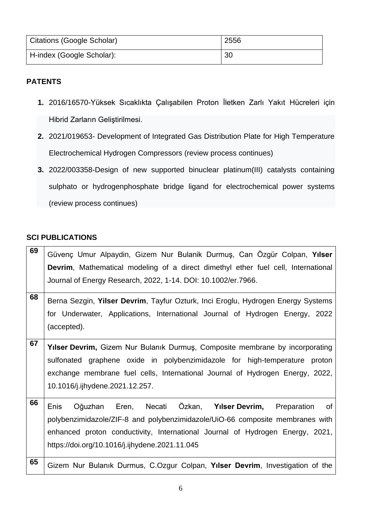| Citations (Google Scholar) | 2556 |
|----------------------------|------|
| H-index (Google Scholar):  | 30   |

#### **PATENTS**

- **1.** 2016/16570-Yüksek Sıcaklıkta Çalışabilen Proton İletken Zarlı Yakıt Hücreleri için Hibrid Zarların Geliştirilmesi.
- **2.** 2021/019653- Development of Integrated Gas Distribution Plate for High Temperature Electrochemical Hydrogen Compressors (review process continues)
- **3.** 2022/003358-Design of new supported binuclear platinum(III) catalysts containing sulphato or hydrogenphosphate bridge ligand for electrochemical power systems (review process continues)

#### **SCI PUBLICATIONS**

| 69 | Güvenç Umur Alpaydin, Gizem Nur Bulanik Durmuş, Can Özgür Colpan, Yılser          |
|----|-----------------------------------------------------------------------------------|
|    | Devrim, Mathematical modeling of a direct dimethyl ether fuel cell, International |
|    | Journal of Energy Research, 2022, 1-14. DOI: 10.1002/er.7966.                     |
| 68 | Berna Sezgin, Yilser Devrim, Tayfur Ozturk, Inci Eroglu, Hydrogen Energy Systems  |
|    | for Underwater, Applications, International Journal of Hydrogen Energy, 2022      |
|    | (accepted).                                                                       |
| 67 |                                                                                   |
|    | Yilser Devrim, Gizem Nur Bulanık Durmuş, Composite membrane by incorporating      |
|    | sulfonated graphene oxide in polybenzimidazole for high-temperature proton        |
|    | exchange membrane fuel cells, International Journal of Hydrogen Energy, 2022,     |
|    | 10.1016/j.ijhydene.2021.12.257.                                                   |
| 66 |                                                                                   |
|    | Oğuzhan Eren, Necati Özkan, Yılser Devrim, Preparation<br>Enis<br>of              |
|    | polybenzimidazole/ZIF-8 and polybenzimidazole/UiO-66 composite membranes with     |
|    | enhanced proton conductivity, International Journal of Hydrogen Energy, 2021,     |
|    | https://doi.org/10.1016/j.ijhydene.2021.11.045                                    |
| 65 |                                                                                   |
|    | Gizem Nur Bulanik Durmus, C.Ozgur Colpan, Yilser Devrim, Investigation of the     |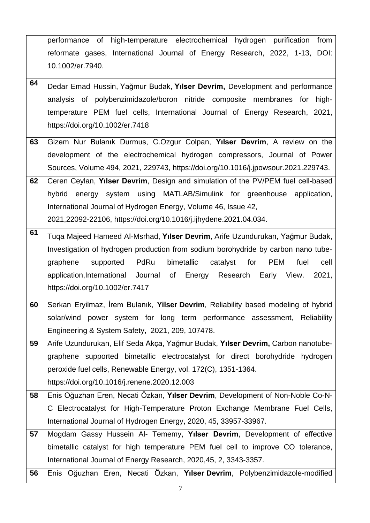|    | performance of high-temperature electrochemical hydrogen purification from            |
|----|---------------------------------------------------------------------------------------|
|    | reformate gases, International Journal of Energy Research, 2022, 1-13, DOI:           |
|    | 10.1002/er.7940.                                                                      |
| 64 | Dedar Emad Hussin, Yağmur Budak, Yılser Devrim, Development and performance           |
|    | analysis of polybenzimidazole/boron nitride composite membranes for<br>high-          |
|    | temperature PEM fuel cells, International Journal of Energy Research, 2021,           |
|    | https://doi.org/10.1002/er.7418                                                       |
|    |                                                                                       |
| 63 | Gizem Nur Bulanık Durmus, C.Ozgur Colpan, Yılser Devrim, A review on the              |
|    | development of the electrochemical hydrogen compressors, Journal of Power             |
|    | Sources, Volume 494, 2021, 229743, https://doi.org/10.1016/j.jpowsour.2021.229743.    |
| 62 | Ceren Ceylan, Yılser Devrim, Design and simulation of the PV/PEM fuel cell-based      |
|    | hybrid energy system using MATLAB/Simulink for greenhouse application,                |
|    | International Journal of Hydrogen Energy, Volume 46, Issue 42,                        |
|    | 2021, 22092-22106, https://doi.org/10.1016/j.ijhydene.2021.04.034.                    |
| 61 | Tuqa Majeed Hameed Al-Msrhad, Yılser Devrim, Arife Uzundurukan, Yağmur Budak,         |
|    | Investigation of hydrogen production from sodium borohydride by carbon nano tube-     |
|    | PdRu<br>bimetallic<br>catalyst<br>for<br>PEM<br>fuel<br>graphene<br>supported<br>cell |
|    | application, International Journal<br>of<br>Energy Research Early View.<br>2021,      |
|    | https://doi.org/10.1002/er.7417                                                       |
| 60 | Serkan Eryilmaz, İrem Bulanık, Yilser Devrim, Reliability based modeling of hybrid    |
|    | solar/wind power system for long term performance assessment, Reliability             |
|    | Engineering & System Safety, 2021, 209, 107478.                                       |
| 59 | Arife Uzundurukan, Elif Seda Akça, Yağmur Budak, Yılser Devrim, Carbon nanotube-      |
|    | graphene supported bimetallic electrocatalyst for direct borohydride hydrogen         |
|    | peroxide fuel cells, Renewable Energy, vol. 172(C), 1351-1364.                        |
|    | https://doi.org/10.1016/j.renene.2020.12.003                                          |
| 58 | Enis Oğuzhan Eren, Necati Özkan, Yılser Devrim, Development of Non-Noble Co-N-        |
|    | C Electrocatalyst for High-Temperature Proton Exchange Membrane Fuel Cells,           |
|    | International Journal of Hydrogen Energy, 2020, 45, 33957-33967.                      |
| 57 | Mogdam Gassy Hussein Al- Tememy, Yilser Devrim, Development of effective              |
|    | bimetallic catalyst for high temperature PEM fuel cell to improve CO tolerance,       |
|    | International Journal of Energy Research, 2020, 45, 2, 3343-3357.                     |
| 56 | Enis Oğuzhan Eren, Necati Özkan, Yılser Devrim, Polybenzimidazole-modified            |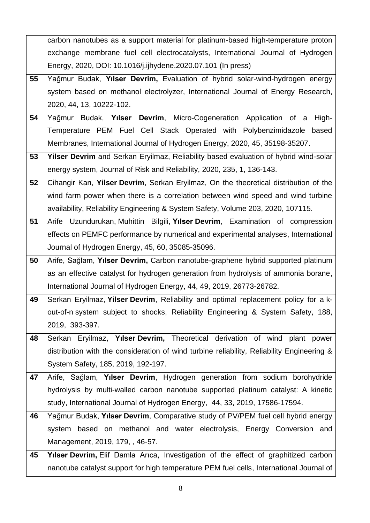|    | carbon nanotubes as a support material for platinum-based high-temperature proton          |
|----|--------------------------------------------------------------------------------------------|
|    | exchange membrane fuel cell electrocatalysts, International Journal of Hydrogen            |
|    | Energy, 2020, DOI: 10.1016/j.ijhydene.2020.07.101 (In press)                               |
| 55 | Yağmur Budak, Yılser Devrim, Evaluation of hybrid solar-wind-hydrogen energy               |
|    | system based on methanol electrolyzer, International Journal of Energy Research,           |
|    | 2020, 44, 13, 10222-102.                                                                   |
| 54 | Yağmur Budak, Yılser Devrim, Micro-Cogeneration Application of a<br>High-                  |
|    | Temperature PEM Fuel Cell Stack Operated with Polybenzimidazole based                      |
|    | Membranes, International Journal of Hydrogen Energy, 2020, 45, 35198-35207.                |
| 53 | Yilser Devrim and Serkan Eryilmaz, Reliability based evaluation of hybrid wind-solar       |
|    | energy system, Journal of Risk and Reliability, 2020, 235, 1, 136-143.                     |
| 52 | Cihangir Kan, Yilser Devrim, Serkan Eryilmaz, On the theoretical distribution of the       |
|    | wind farm power when there is a correlation between wind speed and wind turbine            |
|    | availability, Reliability Engineering & System Safety, Volume 203, 2020, 107115.           |
| 51 | Arife Uzundurukan, Muhittin Bilgili, Yılser Devrim, Examination of compression             |
|    | effects on PEMFC performance by numerical and experimental analyses, International         |
|    | Journal of Hydrogen Energy, 45, 60, 35085-35096.                                           |
| 50 | Arife, Sağlam, Yılser Devrim, Carbon nanotube-graphene hybrid supported platinum           |
|    | as an effective catalyst for hydrogen generation from hydrolysis of ammonia borane,        |
|    | International Journal of Hydrogen Energy, 44, 49, 2019, 26773-26782.                       |
| 49 | Serkan Eryilmaz, Yilser Devrim, Reliability and optimal replacement policy for a k-        |
|    | out-of-n system subject to shocks, Reliability Engineering & System Safety, 188,           |
|    | 2019, 393-397.                                                                             |
| 48 | Serkan Eryilmaz, Yılser Devrim, Theoretical derivation of wind plant power                 |
|    | distribution with the consideration of wind turbine reliability, Reliability Engineering & |
|    | System Safety, 185, 2019, 192-197.                                                         |
| 47 | Arife, Sağlam, Yılser Devrim, Hydrogen generation from sodium borohydride                  |
|    | hydrolysis by multi-walled carbon nanotube supported platinum catalyst: A kinetic          |
|    | study, International Journal of Hydrogen Energy, 44, 33, 2019, 17586-17594.                |
| 46 | Yağmur Budak, Yılser Devrim, Comparative study of PV/PEM fuel cell hybrid energy           |
|    | based on methanol and water electrolysis, Energy Conversion and<br>system                  |
|    | Management, 2019, 179, , 46-57.                                                            |
| 45 | <b>Yilser Devrim, Elif Damla Arica, Investigation of the effect of graphitized carbon</b>  |
|    | nanotube catalyst support for high temperature PEM fuel cells, International Journal of    |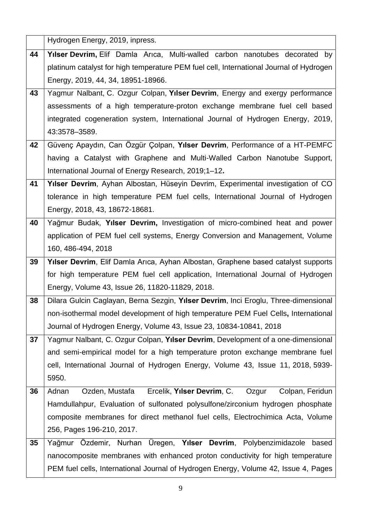|    | Hydrogen Energy, 2019, inpress.                                                                                                                                       |
|----|-----------------------------------------------------------------------------------------------------------------------------------------------------------------------|
| 44 | Yilser Devrim, Elif Damla Arica, Multi-walled carbon nanotubes decorated by                                                                                           |
|    | platinum catalyst for high temperature PEM fuel cell, International Journal of Hydrogen                                                                               |
|    | Energy, 2019, 44, 34, 18951-18966.                                                                                                                                    |
| 43 | Yagmur Nalbant, C. Ozgur Colpan, Yılser Devrim, Energy and exergy performance                                                                                         |
|    | assessments of a high temperature-proton exchange membrane fuel cell based                                                                                            |
|    | integrated cogeneration system, International Journal of Hydrogen Energy, 2019,                                                                                       |
|    | 43:3578-3589.                                                                                                                                                         |
| 42 | Güvenç Apaydın, Can Özgür Çolpan, Yılser Devrim, Performance of a HT-PEMFC                                                                                            |
|    | having a Catalyst with Graphene and Multi-Walled Carbon Nanotube Support,                                                                                             |
|    | International Journal of Energy Research, 2019;1-12.                                                                                                                  |
| 41 | Yilser Devrim, Ayhan Albostan, Hüseyin Devrim, Experimental investigation of CO                                                                                       |
|    | tolerance in high temperature PEM fuel cells, International Journal of Hydrogen                                                                                       |
|    | Energy, 2018, 43, 18672-18681.                                                                                                                                        |
| 40 | Yağmur Budak, Yılser Devrim, Investigation of micro-combined heat and power                                                                                           |
|    | application of PEM fuel cell systems, Energy Conversion and Management, Volume                                                                                        |
|    | 160, 486-494, 2018                                                                                                                                                    |
| 39 | Yilser Devrim, Elif Damla Arica, Ayhan Albostan, Graphene based catalyst supports                                                                                     |
|    | for high temperature PEM fuel cell application, International Journal of Hydrogen                                                                                     |
|    | Energy, Volume 43, Issue 26, 11820-11829, 2018.                                                                                                                       |
|    |                                                                                                                                                                       |
| 38 | Dilara Gulcin Caglayan, Berna Sezgin, Yılser Devrim, Inci Eroglu, Three-dimensional                                                                                   |
|    | non-isothermal model development of high temperature PEM Fuel Cells, International                                                                                    |
|    | Journal of Hydrogen Energy, Volume 43, Issue 23, 10834-10841, 2018                                                                                                    |
| 37 | Yagmur Nalbant, C. Ozgur Colpan, Yilser Devrim, Development of a one-dimensional                                                                                      |
|    | and semi-empirical model for a high temperature proton exchange membrane fuel                                                                                         |
|    | cell, International Journal of Hydrogen Energy, Volume 43, Issue 11, 2018, 5939-                                                                                      |
|    | 5950.                                                                                                                                                                 |
| 36 | Ercelik, Yılser Devrim, C.<br>Ozden, Mustafa<br>Ozgur<br>Colpan, Feridun<br>Adnan                                                                                     |
|    | Hamdullahpur, Evaluation of sulfonated polysulfone/zirconium hydrogen phosphate                                                                                       |
|    | composite membranes for direct methanol fuel cells, Electrochimica Acta, Volume                                                                                       |
|    | 256, Pages 196-210, 2017.                                                                                                                                             |
| 35 | Yağmur Özdemir, Nurhan Üregen, Yılser Devrim, Polybenzimidazole<br>based                                                                                              |
|    | nanocomposite membranes with enhanced proton conductivity for high temperature<br>PEM fuel cells, International Journal of Hydrogen Energy, Volume 42, Issue 4, Pages |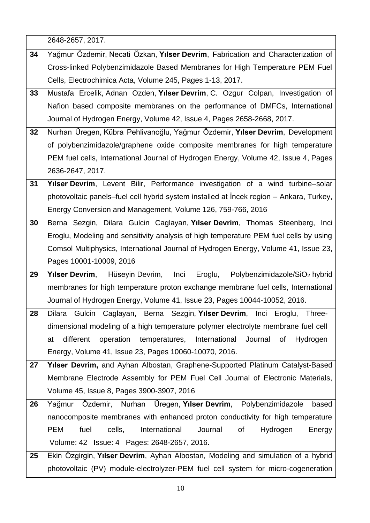|    | 2648-2657, 2017.                                                                            |
|----|---------------------------------------------------------------------------------------------|
| 34 | Yağmur Özdemir, Necati Özkan, Yılser Devrim, Fabrication and Characterization of            |
|    | Cross-linked Polybenzimidazole Based Membranes for High Temperature PEM Fuel                |
|    | Cells, Electrochimica Acta, Volume 245, Pages 1-13, 2017.                                   |
| 33 | Mustafa Ercelik, Adnan Ozden, Yılser Devrim, C. Ozgur Colpan, Investigation of              |
|    | Nafion based composite membranes on the performance of DMFCs, International                 |
|    | Journal of Hydrogen Energy, Volume 42, Issue 4, Pages 2658-2668, 2017.                      |
| 32 | Nurhan Üregen, Kübra Pehlivanoğlu, Yağmur Özdemir, Yılser Devrim, Development               |
|    | of polybenzimidazole/graphene oxide composite membranes for high temperature                |
|    | PEM fuel cells, International Journal of Hydrogen Energy, Volume 42, Issue 4, Pages         |
|    | 2636-2647, 2017.                                                                            |
| 31 | Yilser Devrim, Levent Bilir, Performance investigation of a wind turbine-solar              |
|    | photovoltaic panels–fuel cell hybrid system installed at Incek region – Ankara, Turkey,     |
|    | Energy Conversion and Management, Volume 126, 759-766, 2016                                 |
| 30 | Berna Sezgin, Dilara Gulcin Caglayan, Yilser Devrim, Thomas Steenberg, Inci                 |
|    | Eroglu, Modeling and sensitivity analysis of high temperature PEM fuel cells by using       |
|    | Comsol Multiphysics, International Journal of Hydrogen Energy, Volume 41, Issue 23,         |
|    | Pages 10001-10009, 2016                                                                     |
| 29 | Eroglu, Polybenzimidazole/SiO <sub>2</sub> hybrid<br>Yılser Devrim, Hüseyin Devrim,<br>Inci |
|    | membranes for high temperature proton exchange membrane fuel cells, International           |
|    | Journal of Hydrogen Energy, Volume 41, Issue 23, Pages 10044-10052, 2016.                   |
| 28 | Dilara Gulcin Caglayan, Berna Sezgin, Yilser Devrim, Inci Eroglu, Three-                    |
|    | dimensional modeling of a high temperature polymer electrolyte membrane fuel cell           |
|    | different<br>operation<br>temperatures,<br>International<br>Journal<br>of<br>Hydrogen<br>at |
|    | Energy, Volume 41, Issue 23, Pages 10060-10070, 2016.                                       |
| 27 | Yilser Devrim, and Ayhan Albostan, Graphene-Supported Platinum Catalyst-Based               |
|    | Membrane Electrode Assembly for PEM Fuel Cell Journal of Electronic Materials,              |
|    | Volume 45, Issue 8, Pages 3900-3907, 2016                                                   |
| 26 | Özdemir, Nurhan Üregen, Yılser Devrim, Polybenzimidazole<br>Yağmur<br>based                 |
|    | nanocomposite membranes with enhanced proton conductivity for high temperature              |
|    | <b>PEM</b><br>fuel<br>cells,<br>International<br>Journal<br>οf<br>Energy<br>Hydrogen        |
|    | Volume: 42 Issue: 4 Pages: 2648-2657, 2016.                                                 |
| 25 | Ekin Özgirgin, Yılser Devrim, Ayhan Albostan, Modeling and simulation of a hybrid           |
|    | photovoltaic (PV) module-electrolyzer-PEM fuel cell system for micro-cogeneration           |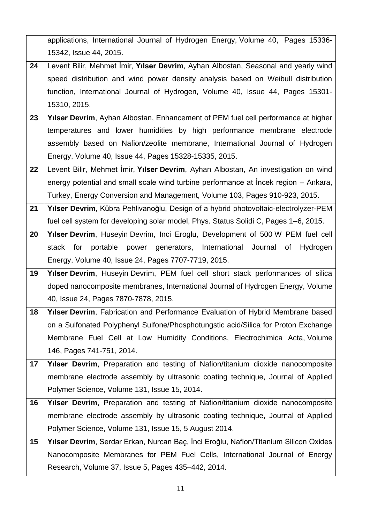|    | applications, International Journal of Hydrogen Energy, Volume 40, Pages 15336-      |
|----|--------------------------------------------------------------------------------------|
|    | 15342, Issue 44, 2015.                                                               |
| 24 | Levent Bilir, Mehmet İmir, Yılser Devrim, Ayhan Albostan, Seasonal and yearly wind   |
|    | speed distribution and wind power density analysis based on Weibull distribution     |
|    | function, International Journal of Hydrogen, Volume 40, Issue 44, Pages 15301-       |
|    | 15310, 2015.                                                                         |
| 23 | Yılser Devrim, Ayhan Albostan, Enhancement of PEM fuel cell performance at higher    |
|    | temperatures and lower humidities by high performance membrane electrode             |
|    | assembly based on Nafion/zeolite membrane, International Journal of Hydrogen         |
|    | Energy, Volume 40, Issue 44, Pages 15328-15335, 2015.                                |
| 22 | Levent Bilir, Mehmet Imir, Yılser Devrim, Ayhan Albostan, An investigation on wind   |
|    | energy potential and small scale wind turbine performance at lncek region – Ankara,  |
|    | Turkey, Energy Conversion and Management, Volume 103, Pages 910-923, 2015.           |
| 21 | Yılser Devrim, Kübra Pehlivanoğlu, Design of a hybrid photovoltaic-electrolyzer-PEM  |
|    | fuel cell system for developing solar model, Phys. Status Solidi C, Pages 1-6, 2015. |
| 20 | Yilser Devrim, Huseyin Devrim, Inci Eroglu, Development of 500 W PEM fuel cell       |
|    | power generators, International Journal of<br>portable<br>stack for<br>Hydrogen      |
|    | Energy, Volume 40, Issue 24, Pages 7707-7719, 2015.                                  |
| 19 | Yilser Devrim, Huseyin Devrim, PEM fuel cell short stack performances of silica      |
|    | doped nanocomposite membranes, International Journal of Hydrogen Energy, Volume      |
|    | 40, Issue 24, Pages 7870-7878, 2015.                                                 |
| 18 | Yılser Devrim, Fabrication and Performance Evaluation of Hybrid Membrane based       |
|    | on a Sulfonated Polyphenyl Sulfone/Phosphotungstic acid/Silica for Proton Exchange   |
|    | Membrane Fuel Cell at Low Humidity Conditions, Electrochimica Acta, Volume           |
|    | 146, Pages 741-751, 2014.                                                            |
| 17 | Yilser Devrim, Preparation and testing of Nafion/titanium dioxide nanocomposite      |
|    | membrane electrode assembly by ultrasonic coating technique, Journal of Applied      |
|    | Polymer Science, Volume 131, Issue 15, 2014.                                         |
| 16 | Yilser Devrim, Preparation and testing of Nafion/titanium dioxide nanocomposite      |
|    | membrane electrode assembly by ultrasonic coating technique, Journal of Applied      |
|    | Polymer Science, Volume 131, Issue 15, 5 August 2014.                                |
| 15 | Yılser Devrim, Serdar Erkan, Nurcan Baç, İnci Eroğlu, Nafion/Titanium Silicon Oxides |
|    | Nanocomposite Membranes for PEM Fuel Cells, International Journal of Energy          |
|    | Research, Volume 37, Issue 5, Pages 435–442, 2014.                                   |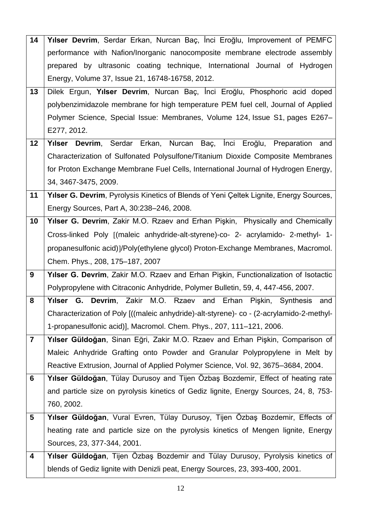| 14             | Yılser Devrim, Serdar Erkan, Nurcan Baç, İnci Eroğlu, Improvement of PEMFC               |
|----------------|------------------------------------------------------------------------------------------|
|                | performance with Nafion/Inorganic nanocomposite membrane electrode assembly              |
|                | prepared by ultrasonic coating technique, International Journal of Hydrogen              |
|                | Energy, Volume 37, Issue 21, 16748-16758, 2012.                                          |
| 13             | Dilek Ergun, Yılser Devrim, Nurcan Baç, İnci Eroğlu, Phosphoric acid doped               |
|                | polybenzimidazole membrane for high temperature PEM fuel cell, Journal of Applied        |
|                | Polymer Science, Special Issue: Membranes, Volume 124, Issue S1, pages E267–             |
|                | E277, 2012.                                                                              |
| 12             | Yılser Devrim, Serdar Erkan, Nurcan Baç,<br>Inci Eroğlu, Preparation and                 |
|                | Characterization of Sulfonated Polysulfone/Titanium Dioxide Composite Membranes          |
|                | for Proton Exchange Membrane Fuel Cells, International Journal of Hydrogen Energy,       |
|                | 34, 3467-3475, 2009.                                                                     |
| 11             | Yilser G. Devrim, Pyrolysis Kinetics of Blends of Yeni Çeltek Lignite, Energy Sources,   |
|                | Energy Sources, Part A, 30:238-246, 2008.                                                |
| 10             | Yilser G. Devrim, Zakir M.O. Rzaev and Erhan Pişkin, Physically and Chemically           |
|                | Cross-linked Poly [(maleic anhydride-alt-styrene)-co- 2- acrylamido- 2-methyl- 1-        |
|                | propanesulfonic acid)]/Poly(ethylene glycol) Proton-Exchange Membranes, Macromol.        |
|                | Chem. Phys., 208, 175-187, 2007                                                          |
| 9              | Yılser G. Devrim, Zakir M.O. Rzaev and Erhan Pişkin, Functionalization of Isotactic      |
|                | Polypropylene with Citraconic Anhydride, Polymer Bulletin, 59, 4, 447-456, 2007.         |
| 8              | Yilser G. Devrim, Zakir M.O. Rzaev and Erhan Pişkin, Synthesis<br>and                    |
|                | Characterization of Poly [((maleic anhydride)-alt-styrene)- co - (2-acrylamido-2-methyl- |
|                | 1-propanesulfonic acid)], Macromol. Chem. Phys., 207, 111–121, 2006.                     |
| $\overline{7}$ | Yılser Güldoğan, Sinan Eğri, Zakir M.O. Rzaev and Erhan Pişkin, Comparison of            |
|                | Maleic Anhydride Grafting onto Powder and Granular Polypropylene in Melt by              |
|                | Reactive Extrusion, Journal of Applied Polymer Science, Vol. 92, 3675-3684, 2004.        |
| $6\phantom{1}$ | Yılser Güldoğan, Tülay Durusoy and Tijen Özbaş Bozdemir, Effect of heating rate          |
|                | and particle size on pyrolysis kinetics of Gediz lignite, Energy Sources, 24, 8, 753-    |
|                | 760, 2002.                                                                               |
| 5              | Yılser Güldoğan, Vural Evren, Tülay Durusoy, Tijen Özbaş Bozdemir, Effects of            |
|                | heating rate and particle size on the pyrolysis kinetics of Mengen lignite, Energy       |
|                | Sources, 23, 377-344, 2001.                                                              |
| 4              | Yılser Güldoğan, Tijen Özbaş Bozdemir and Tülay Durusoy, Pyrolysis kinetics of           |
|                | blends of Gediz lignite with Denizli peat, Energy Sources, 23, 393-400, 2001.            |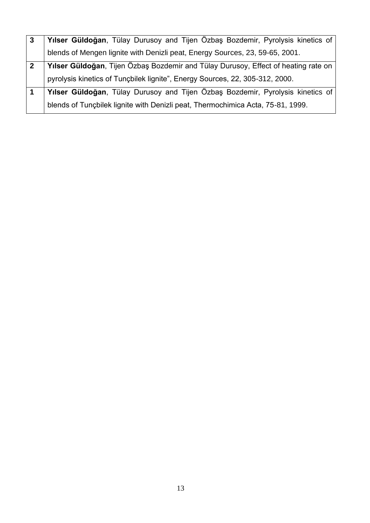|   | Yılser Güldoğan, Tülay Durusoy and Tijen Özbaş Bozdemir, Pyrolysis kinetics of     |
|---|------------------------------------------------------------------------------------|
|   | blends of Mengen lignite with Denizli peat, Energy Sources, 23, 59-65, 2001.       |
| 2 | Yılser Güldoğan, Tijen Özbaş Bozdemir and Tülay Durusoy, Effect of heating rate on |
|   | pyrolysis kinetics of Tunçbilek lignite", Energy Sources, 22, 305-312, 2000.       |
|   | Yılser Güldoğan, Tülay Durusoy and Tijen Özbaş Bozdemir, Pyrolysis kinetics of     |
|   | blends of Tunçbilek lignite with Denizli peat, Thermochimica Acta, 75-81, 1999.    |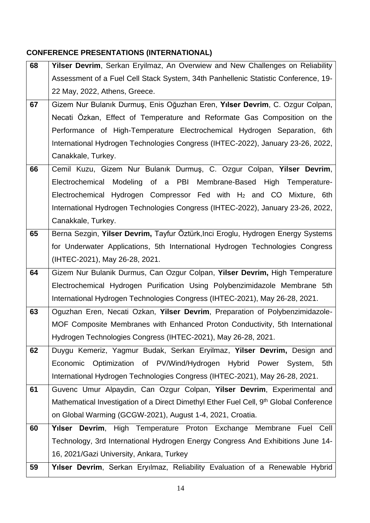# **CONFERENCE PRESENTATIONS (INTERNATIONAL)**

| 68 | Yilser Devrim, Serkan Eryilmaz, An Overwiew and New Challenges on Reliability                                                                         |
|----|-------------------------------------------------------------------------------------------------------------------------------------------------------|
|    | Assessment of a Fuel Cell Stack System, 34th Panhellenic Statistic Conference, 19-                                                                    |
|    | 22 May, 2022, Athens, Greece.                                                                                                                         |
| 67 | Gizem Nur Bulanık Durmuş, Enis Oğuzhan Eren, Yılser Devrim, C. Ozgur Colpan,                                                                          |
|    | Necati Özkan, Effect of Temperature and Reformate Gas Composition on the                                                                              |
|    | Performance of High-Temperature Electrochemical Hydrogen Separation, 6th                                                                              |
|    | International Hydrogen Technologies Congress (IHTEC-2022), January 23-26, 2022,                                                                       |
|    | Canakkale, Turkey.                                                                                                                                    |
| 66 | Cemil Kuzu, Gizem Nur Bulanık Durmuş, C. Ozgur Colpan, Yilser Devrim,                                                                                 |
|    | Electrochemical Modeling of a PBI Membrane-Based High Temperature-                                                                                    |
|    | Electrochemical Hydrogen Compressor Fed with H <sub>2</sub> and CO Mixture, 6th                                                                       |
|    | International Hydrogen Technologies Congress (IHTEC-2022), January 23-26, 2022,                                                                       |
|    | Canakkale, Turkey.                                                                                                                                    |
| 65 | Berna Sezgin, Yilser Devrim, Tayfur Öztürk, Inci Eroglu, Hydrogen Energy Systems                                                                      |
|    | for Underwater Applications, 5th International Hydrogen Technologies Congress                                                                         |
|    | (IHTEC-2021), May 26-28, 2021.                                                                                                                        |
|    |                                                                                                                                                       |
| 64 | Gizem Nur Bulanik Durmus, Can Ozgur Colpan, Yilser Devrim, High Temperature                                                                           |
|    | Electrochemical Hydrogen Purification Using Polybenzimidazole Membrane 5th                                                                            |
|    | International Hydrogen Technologies Congress (IHTEC-2021), May 26-28, 2021.                                                                           |
| 63 | Oguzhan Eren, Necati Ozkan, Yilser Devrim, Preparation of Polybenzimidazole-                                                                          |
|    | MOF Composite Membranes with Enhanced Proton Conductivity, 5th International                                                                          |
|    | Hydrogen Technologies Congress (IHTEC-2021), May 26-28, 2021.                                                                                         |
| 62 | Duygu Kemeriz, Yagmur Budak, Serkan Eryilmaz, Yilser Devrim, Design and                                                                               |
|    | Optimization of PV/Wind/Hydrogen Hybrid Power System,<br>Economic<br>5th                                                                              |
|    | International Hydrogen Technologies Congress (IHTEC-2021), May 26-28, 2021.                                                                           |
| 61 | Guvenc Umur Alpaydin, Can Ozgur Colpan, Yilser Devrim, Experimental and                                                                               |
|    | Mathematical Investigation of a Direct Dimethyl Ether Fuel Cell, 9 <sup>th</sup> Global Conference                                                    |
|    | on Global Warming (GCGW-2021), August 1-4, 2021, Croatia.                                                                                             |
| 60 |                                                                                                                                                       |
|    | Yilser Devrim, High Temperature Proton Exchange Membrane Fuel Cell<br>Technology, 3rd International Hydrogen Energy Congress And Exhibitions June 14- |
|    | 16, 2021/Gazi University, Ankara, Turkey                                                                                                              |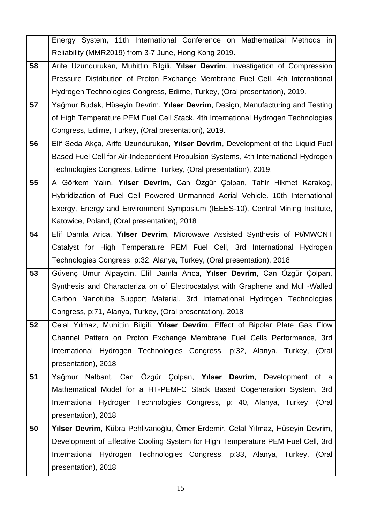|    | Energy System, 11th International Conference on Mathematical Methods in            |
|----|------------------------------------------------------------------------------------|
|    | Reliability (MMR2019) from 3-7 June, Hong Kong 2019.                               |
| 58 | Arife Uzundurukan, Muhittin Bilgili, Yılser Devrim, Investigation of Compression   |
|    | Pressure Distribution of Proton Exchange Membrane Fuel Cell, 4th International     |
|    | Hydrogen Technologies Congress, Edirne, Turkey, (Oral presentation), 2019.         |
| 57 | Yağmur Budak, Hüseyin Devrim, Yılser Devrim, Design, Manufacturing and Testing     |
|    | of High Temperature PEM Fuel Cell Stack, 4th International Hydrogen Technologies   |
|    | Congress, Edirne, Turkey, (Oral presentation), 2019.                               |
| 56 | Elif Seda Akça, Arife Uzundurukan, Yılser Devrim, Development of the Liquid Fuel   |
|    | Based Fuel Cell for Air-Independent Propulsion Systems, 4th International Hydrogen |
|    | Technologies Congress, Edirne, Turkey, (Oral presentation), 2019.                  |
| 55 | A Görkem Yalın, Yılser Devrim, Can Özgür Çolpan, Tahir Hikmet Karakoç,             |
|    | Hybridization of Fuel Cell Powered Unmanned Aerial Vehicle. 10th International     |
|    | Exergy, Energy and Environment Symposium (IEEES-10), Central Mining Institute,     |
|    | Katowice, Poland, (Oral presentation), 2018                                        |
| 54 | Elif Damla Arica, Yılser Devrim, Microwave Assisted Synthesis of Pt/MWCNT          |
|    | Catalyst for High Temperature PEM Fuel Cell, 3rd International Hydrogen            |
|    | Technologies Congress, p:32, Alanya, Turkey, (Oral presentation), 2018             |
| 53 | Güvenç Umur Alpaydın, Elif Damla Arıca, Yılser Devrim, Can Özgür Çolpan,           |
|    | Synthesis and Characteriza on of Electrocatalyst with Graphene and Mul -Walled     |
|    | Carbon Nanotube Support Material, 3rd International Hydrogen Technologies          |
|    | Congress, p:71, Alanya, Turkey, (Oral presentation), 2018                          |
| 52 | Celal Yılmaz, Muhittin Bilgili, Yılser Devrim, Effect of Bipolar Plate Gas Flow    |
|    | Channel Pattern on Proton Exchange Membrane Fuel Cells Performance, 3rd            |
|    | International Hydrogen Technologies Congress, p:32, Alanya, Turkey, (Oral          |
|    | presentation), 2018                                                                |
| 51 | Yağmur Nalbant, Can Özgür Çolpan, Yılser Devrim, Development of a                  |
|    | Mathematical Model for a HT-PEMFC Stack Based Cogeneration System, 3rd             |
|    | International Hydrogen Technologies Congress, p: 40, Alanya, Turkey, (Oral         |
|    | presentation), 2018                                                                |
| 50 | Yılser Devrim, Kübra Pehlivanoğlu, Ömer Erdemir, Celal Yılmaz, Hüseyin Devrim,     |
|    | Development of Effective Cooling System for High Temperature PEM Fuel Cell, 3rd    |
|    | International Hydrogen Technologies Congress, p:33, Alanya, Turkey, (Oral          |
|    | presentation), 2018                                                                |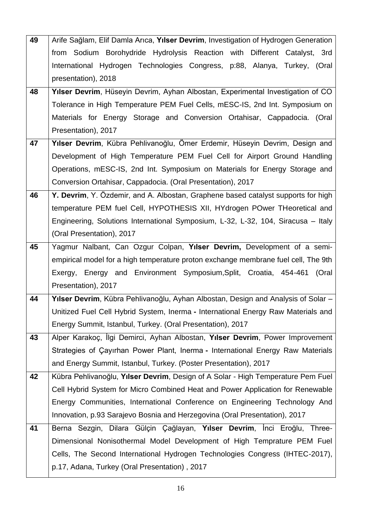| 49 | Arife Sağlam, Elif Damla Arıca, Yılser Devrim, Investigation of Hydrogen Generation |
|----|-------------------------------------------------------------------------------------|
|    | from Sodium Borohydride Hydrolysis Reaction with Different Catalyst, 3rd            |
|    | International Hydrogen Technologies Congress, p:88, Alanya, Turkey, (Oral           |
|    | presentation), 2018                                                                 |
| 48 | Yilser Devrim, Hüseyin Devrim, Ayhan Albostan, Experimental Investigation of CO     |
|    | Tolerance in High Temperature PEM Fuel Cells, mESC-IS, 2nd Int. Symposium on        |
|    | Materials for Energy Storage and Conversion Ortahisar, Cappadocia. (Oral            |
|    | Presentation), 2017                                                                 |
| 47 | Yılser Devrim, Kübra Pehlivanoğlu, Ömer Erdemir, Hüseyin Devrim, Design and         |
|    | Development of High Temperature PEM Fuel Cell for Airport Ground Handling           |
|    | Operations, mESC-IS, 2nd Int. Symposium on Materials for Energy Storage and         |
|    | Conversion Ortahisar, Cappadocia. (Oral Presentation), 2017                         |
| 46 | Y. Devrim, Y. Özdemir, and A. Albostan, Graphene based catalyst supports for high   |
|    | temperature PEM fuel Cell, HYPOTHESIS XII, HYdrogen POwer THeoretical and           |
|    | Engineering, Solutions International Symposium, L-32, L-32, 104, Siracusa - Italy   |
|    | (Oral Presentation), 2017                                                           |
| 45 | Yagmur Nalbant, Can Ozgur Colpan, Yılser Devrim, Development of a semi-             |
|    | empirical model for a high temperature proton exchange membrane fuel cell, The 9th  |
|    | Exergy, Energy and Environment Symposium, Split, Croatia, 454-461<br>(Oral          |
|    | Presentation), 2017                                                                 |
| 44 | Yılser Devrim, Kübra Pehlivanoğlu, Ayhan Albostan, Design and Analysis of Solar -   |
|    | Unitized Fuel Cell Hybrid System, Inerma - International Energy Raw Materials and   |
|    | Energy Summit, Istanbul, Turkey. (Oral Presentation), 2017                          |
| 43 | Alper Karakoç, İlgi Demirci, Ayhan Albostan, Yılser Devrim, Power Improvement       |
|    | Strategies of Çayırhan Power Plant, Inerma - International Energy Raw Materials     |
|    | and Energy Summit, Istanbul, Turkey. (Poster Presentation), 2017                    |
| 42 | Kübra Pehlivanoğlu, Yılser Devrim, Design of A Solar - High Temperature Pem Fuel    |
|    | Cell Hybrid System for Micro Combined Heat and Power Application for Renewable      |
|    | Energy Communities, International Conference on Engineering Technology And          |
|    | Innovation, p.93 Sarajevo Bosnia and Herzegovina (Oral Presentation), 2017          |
| 41 | Berna Sezgin, Dilara Gülçin Çağlayan, Yılser Devrim, İnci Eroğlu, Three-            |
|    | Dimensional Nonisothermal Model Development of High Temprature PEM Fuel             |
|    | Cells, The Second International Hydrogen Technologies Congress (IHTEC-2017),        |
|    | p.17, Adana, Turkey (Oral Presentation), 2017                                       |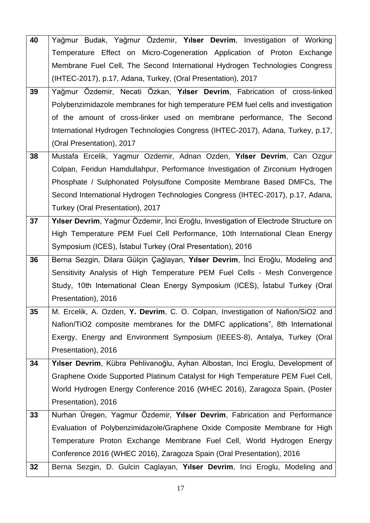| 40 | Yağmur Budak, Yağmur Özdemir, Yılser Devrim, Investigation of Working               |
|----|-------------------------------------------------------------------------------------|
|    | Temperature Effect on Micro-Cogeneration Application of Proton Exchange             |
|    | Membrane Fuel Cell, The Second International Hydrogen Technologies Congress         |
|    | (IHTEC-2017), p.17, Adana, Turkey, (Oral Presentation), 2017                        |
| 39 | Yağmur Özdemir, Necati Özkan, Yılser Devrim, Fabrication of cross-linked            |
|    | Polybenzimidazole membranes for high temperature PEM fuel cells and investigation   |
|    | of the amount of cross-linker used on membrane performance, The Second              |
|    | International Hydrogen Technologies Congress (IHTEC-2017), Adana, Turkey, p.17,     |
|    | (Oral Presentation), 2017                                                           |
| 38 | Mustafa Ercelik, Yagmur Ozdemir, Adnan Ozden, Yılser Devrim, Can Ozgur              |
|    | Colpan, Feridun Hamdullahpur, Performance Investigation of Zirconium Hydrogen       |
|    | Phosphate / Sulphonated Polysulfone Composite Membrane Based DMFCs, The             |
|    | Second International Hydrogen Technologies Congress (IHTEC-2017), p.17, Adana,      |
|    | Turkey (Oral Presentation), 2017                                                    |
| 37 | Yılser Devrim, Yağmur Özdemir, İnci Eroğlu, Investigation of Electrode Structure on |
|    | High Temperature PEM Fuel Cell Performance, 10th International Clean Energy         |
|    | Symposium (ICES), Istabul Turkey (Oral Presentation), 2016                          |
| 36 | Berna Sezgin, Dilara Gülçin Çağlayan, Yılser Devrim, İnci Eroğlu, Modeling and      |
|    | Sensitivity Analysis of High Temperature PEM Fuel Cells - Mesh Convergence          |
|    | Study, 10th International Clean Energy Symposium (ICES), İstabul Turkey (Oral       |
|    | Presentation), 2016                                                                 |
| 35 | M. Ercelik, A. Ozden, Y. Devrim, C. O. Colpan, Investigation of Nafion/SiO2 and     |
|    | Nafion/TiO2 composite membranes for the DMFC applications", 8th International       |
|    | Exergy, Energy and Environment Symposium (IEEES-8), Antalya, Turkey (Oral           |
|    | Presentation), 2016                                                                 |
| 34 | Yılser Devrim, Kübra Pehlivanoğlu, Ayhan Albostan, Inci Eroglu, Development of      |
|    | Graphene Oxide Supported Platinum Catalyst for High Temperature PEM Fuel Cell,      |
|    | World Hydrogen Energy Conference 2016 (WHEC 2016), Zaragoza Spain, (Poster          |
|    | Presentation), 2016                                                                 |
| 33 | Nurhan Üregen, Yagmur Özdemir, Yılser Devrim, Fabrication and Performance           |
|    | Evaluation of Polybenzimidazole/Graphene Oxide Composite Membrane for High          |
|    | Temperature Proton Exchange Membrane Fuel Cell, World Hydrogen Energy               |
|    | Conference 2016 (WHEC 2016), Zaragoza Spain (Oral Presentation), 2016               |
| 32 | Berna Sezgin, D. Gulcin Caglayan, Yılser Devrim, Inci Eroglu, Modeling and          |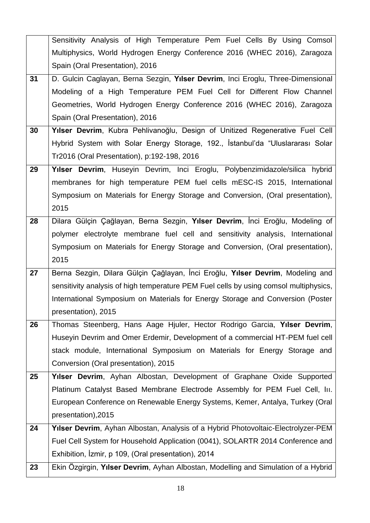|    | Sensitivity Analysis of High Temperature Pem Fuel Cells By Using Comsol               |
|----|---------------------------------------------------------------------------------------|
|    | Multiphysics, World Hydrogen Energy Conference 2016 (WHEC 2016), Zaragoza             |
|    | Spain (Oral Presentation), 2016                                                       |
| 31 | D. Gulcin Caglayan, Berna Sezgin, Yılser Devrim, Inci Eroglu, Three-Dimensional       |
|    | Modeling of a High Temperature PEM Fuel Cell for Different Flow Channel               |
|    | Geometries, World Hydrogen Energy Conference 2016 (WHEC 2016), Zaragoza               |
|    | Spain (Oral Presentation), 2016                                                       |
| 30 | Yılser Devrim, Kubra Pehlivanoğlu, Design of Unitized Regenerative Fuel Cell          |
|    | Hybrid System with Solar Energy Storage, 192., Istanbul'da "Uluslararası Solar        |
|    | Tr2016 (Oral Presentation), p:192-198, 2016                                           |
| 29 | Yılser Devrim, Huseyin Devrim, Inci Eroglu, Polybenzimidazole/silica hybrid           |
|    | membranes for high temperature PEM fuel cells mESC-IS 2015, International             |
|    | Symposium on Materials for Energy Storage and Conversion, (Oral presentation),        |
|    | 2015                                                                                  |
| 28 | Dilara Gülçin Çağlayan, Berna Sezgin, Yılser Devrim, İnci Eroğlu, Modeling of         |
|    | polymer electrolyte membrane fuel cell and sensitivity analysis, International        |
|    | Symposium on Materials for Energy Storage and Conversion, (Oral presentation),        |
|    | 2015                                                                                  |
| 27 | Berna Sezgin, Dilara Gülçin Çağlayan, İnci Eroğlu, Yılser Devrim, Modeling and        |
|    | sensitivity analysis of high temperature PEM Fuel cells by using comsol multiphysics, |
|    | International Symposium on Materials for Energy Storage and Conversion (Poster        |
|    | presentation), 2015                                                                   |
| 26 | Thomas Steenberg, Hans Aage Hjuler, Hector Rodrigo Garcia, Yilser Devrim,             |
|    | Huseyin Devrim and Omer Erdemir, Development of a commercial HT-PEM fuel cell         |
|    | stack module, International Symposium on Materials for Energy Storage and             |
|    | Conversion (Oral presentation), 2015                                                  |
| 25 | Yilser Devrim, Ayhan Albostan, Development of Graphane Oxide Supported                |
|    | Platinum Catalyst Based Membrane Electrode Assembly for PEM Fuel Cell, In.            |
|    | European Conference on Renewable Energy Systems, Kemer, Antalya, Turkey (Oral         |
|    | presentation), 2015                                                                   |
| 24 | Yilser Devrim, Ayhan Albostan, Analysis of a Hybrid Photovoltaic-Electrolyzer-PEM     |
|    | Fuel Cell System for Household Application (0041), SOLARTR 2014 Conference and        |
|    | Exhibition, Izmir, p 109, (Oral presentation), 2014                                   |
| 23 | Ekin Özgirgin, Yılser Devrim, Ayhan Albostan, Modelling and Simulation of a Hybrid    |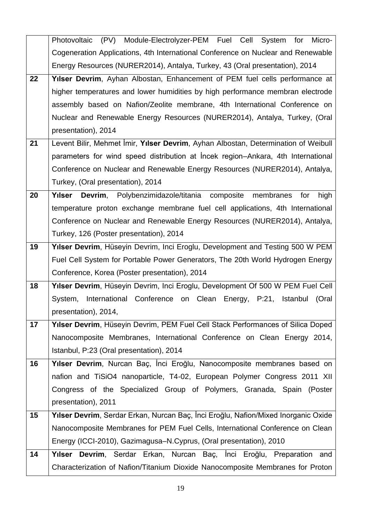|    | Module-Electrolyzer-PEM Fuel Cell<br>(PV)<br>System<br>Micro-<br>Photovoltaic<br>for |
|----|--------------------------------------------------------------------------------------|
|    | Cogeneration Applications, 4th International Conference on Nuclear and Renewable     |
|    | Energy Resources (NURER2014), Antalya, Turkey, 43 (Oral presentation), 2014          |
| 22 | Yilser Devrim, Ayhan Albostan, Enhancement of PEM fuel cells performance at          |
|    | higher temperatures and lower humidities by high performance membran electrode       |
|    | assembly based on Nafion/Zeolite membrane, 4th International Conference on           |
|    | Nuclear and Renewable Energy Resources (NURER2014), Antalya, Turkey, (Oral           |
|    | presentation), 2014                                                                  |
| 21 | Levent Bilir, Mehmet İmir, Yılser Devrim, Ayhan Albostan, Determination of Weibull   |
|    | parameters for wind speed distribution at Incek region–Ankara, 4th International     |
|    | Conference on Nuclear and Renewable Energy Resources (NURER2014), Antalya,           |
|    | Turkey, (Oral presentation), 2014                                                    |
| 20 | Yılser Devrim, Polybenzimidazole/titania composite<br>membranes<br>high<br>for       |
|    | temperature proton exchange membrane fuel cell applications, 4th International       |
|    | Conference on Nuclear and Renewable Energy Resources (NURER2014), Antalya,           |
|    | Turkey, 126 (Poster presentation), 2014                                              |
| 19 | Yılser Devrim, Hüseyin Devrim, Inci Eroglu, Development and Testing 500 W PEM        |
|    | Fuel Cell System for Portable Power Generators, The 20th World Hydrogen Energy       |
|    | Conference, Korea (Poster presentation), 2014                                        |
| 18 | Yılser Devrim, Hüseyin Devrim, Inci Eroglu, Development Of 500 W PEM Fuel Cell       |
|    | International Conference on Clean Energy, P:21, Istanbul<br>(Oral<br>System,         |
|    | presentation), 2014,                                                                 |
| 17 | Yilser Devrim, Hüseyin Devrim, PEM Fuel Cell Stack Performances of Silica Doped      |
|    | Nanocomposite Membranes, International Conference on Clean Energy 2014,              |
|    | Istanbul, P:23 (Oral presentation), 2014                                             |
| 16 | Yılser Devrim, Nurcan Baç, İnci Eroğlu, Nanocomposite membranes based on             |
|    | nafion and TiSiO4 nanoparticle, T4-02, European Polymer Congress 2011 XII            |
|    | Congress of the Specialized Group of Polymers, Granada, Spain (Poster                |
|    | presentation), 2011                                                                  |
| 15 | Yılser Devrim, Serdar Erkan, Nurcan Baç, İnci Eroğlu, Nafion/Mixed Inorganic Oxide   |
|    | Nanocomposite Membranes for PEM Fuel Cells, International Conference on Clean        |
|    | Energy (ICCI-2010), Gazimagusa–N.Cyprus, (Oral presentation), 2010                   |
| 14 | Yılser Devrim, Serdar Erkan, Nurcan Baç, İnci Eroğlu, Preparation<br>and             |
|    | Characterization of Nafion/Titanium Dioxide Nanocomposite Membranes for Proton       |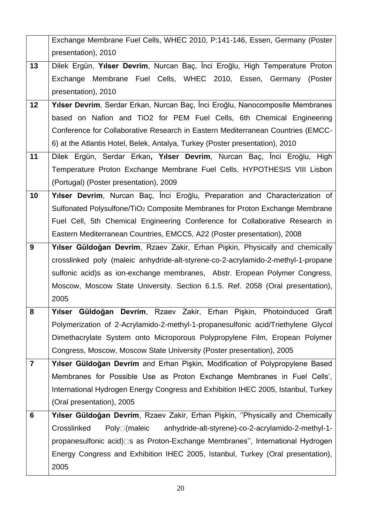|                | Exchange Membrane Fuel Cells, WHEC 2010, P:141-146, Essen, Germany (Poster               |  |
|----------------|------------------------------------------------------------------------------------------|--|
|                | presentation), 2010                                                                      |  |
| 13             | Dilek Ergün, Yılser Devrim, Nurcan Baç, İnci Eroğlu, High Temperature Proton             |  |
|                | Exchange Membrane Fuel Cells, WHEC 2010, Essen, Germany (Poster                          |  |
|                | presentation), 2010                                                                      |  |
| 12             | Yılser Devrim, Serdar Erkan, Nurcan Baç, İnci Eroğlu, Nanocomposite Membranes            |  |
|                | based on Nafion and TiO2 for PEM Fuel Cells, 6th Chemical Engineering                    |  |
|                | Conference for Collaborative Research in Eastern Mediterranean Countries (EMCC-          |  |
|                | 6) at the Atlantis Hotel, Belek, Antalya, Turkey (Poster presentation), 2010             |  |
| 11             | Dilek Ergün, Serdar Erkan, Yılser Devrim, Nurcan Baç, İnci Eroğlu, High                  |  |
|                | Temperature Proton Exchange Membrane Fuel Cells, HYPOTHESIS VIII Lisbon                  |  |
|                | (Portugal) (Poster presentation), 2009                                                   |  |
| 10             | Yılser Devrim, Nurcan Baç, İnci Eroğlu, Preparation and Characterization of              |  |
|                | Sulfonated Polysulfone/TiO <sub>2</sub> Composite Membranes for Proton Exchange Membrane |  |
|                | Fuel Cell, 5th Chemical Engineering Conference for Collaborative Research in             |  |
|                | Eastern Mediterranean Countries, EMCC5, A22 (Poster presentation), 2008                  |  |
| 9              | Yılser Güldoğan Devrim, Rzaev Zakir, Erhan Pişkin, Physically and chemically             |  |
|                | crosslinked poly (maleic anhydride-alt-styrene-co-2-acrylamido-2-methyl-1-propane        |  |
|                | sulfonic acid) s as ion-exchange membranes, Abstr. Eropean Polymer Congress,             |  |
|                | Moscow, Moscow State University. Section 6.1.5. Ref. 2058 (Oral presentation),           |  |
|                | 2005                                                                                     |  |
| 8              | Yılser Güldoğan Devrim, Rzaev Zakir, Erhan Pişkin, Photoinduced Graft                    |  |
|                | Polymerization of 2-Acrylamido-2-methyl-1-propanesulfonic acid/Triethylene Glycol        |  |
|                | Dimethacrylate System onto Microporous Polypropylene Film, Eropean Polymer               |  |
|                | Congress, Moscow, Moscow State University (Poster presentation), 2005                    |  |
| $\overline{7}$ | Yılser Güldoğan Devrim and Erhan Pişkin, Modification of Polypropylene Based             |  |
|                | Membranes for Possible Use as Proton Exchange Membranes in Fuel Cells',                  |  |
|                | International Hydrogen Energy Congress and Exhibition IHEC 2005, Istanbul, Turkey        |  |
|                | (Oral presentation), 2005                                                                |  |
| 6              | Yılser Güldoğan Devrim, Rzaev Zakir, Erhan Pişkin, "Physically and Chemically            |  |
|                | Crosslinked<br>Poly□(maleic<br>anhydride-alt-styrene)-co-2-acrylamido-2-methyl-1-        |  |
|                | propanesulfonic acid) □ s as Proton-Exchange Membranes", International Hydrogen          |  |
|                | Energy Congress and Exhibition IHEC 2005, Istanbul, Turkey (Oral presentation),          |  |
|                | 2005                                                                                     |  |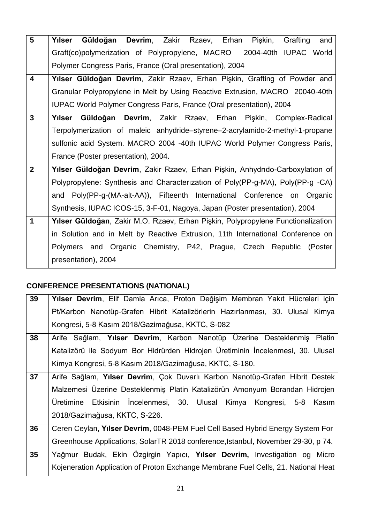| 5                       | Güldoğan Devrim, Zakir Rzaev, Erhan<br>Yılser<br>Pişkin,<br>Grafting<br>and      |
|-------------------------|----------------------------------------------------------------------------------|
|                         | Graft(co)polymerization of Polypropylene, MACRO 2004-40th IUPAC World            |
|                         | Polymer Congress Paris, France (Oral presentation), 2004                         |
| $\overline{\mathbf{4}}$ | Yılser Güldoğan Devrim, Zakir Rzaev, Erhan Pişkin, Grafting of Powder and        |
|                         | Granular Polypropylene in Melt by Using Reactive Extrusion, MACRO 20040-40th     |
|                         | IUPAC World Polymer Congress Paris, France (Oral presentation), 2004             |
| $\mathbf{3}$            | Yılser Güldoğan<br>Devrim, Zakir Rzaev, Erhan Pişkin, Complex-Radical            |
|                         | Terpolymerization of maleic anhydride-styrene-2-acrylamido-2-methyl-1-propane    |
|                         | sulfonic acid System. MACRO 2004 -40th IUPAC World Polymer Congress Paris,       |
|                         | France (Poster presentation), 2004.                                              |
| $\overline{2}$          | Yılser Güldoğan Devrim, Zakir Rzaev, Erhan Pişkin, Anhydrıdo-Carboxylatıon of    |
|                         | Polypropylene: Synthesis and Characterization of Poly(PP-g-MA), Poly(PP-g -CA)   |
|                         | and Poly(PP-g-(MA-alt-AA)), Fifteenth International Conference on Organic        |
|                         | Synthesis, IUPAC ICOS-15, 3-F-01, Nagoya, Japan (Poster presentation), 2004      |
| 1                       | Yılser Güldoğan, Zakir M.O. Rzaev, Erhan Pişkin, Polypropylene Functionalization |
|                         | in Solution and in Melt by Reactive Extrusion, 11th International Conference on  |
|                         | Polymers and Organic Chemistry, P42, Prague, Czech Republic (Poster              |
|                         | presentation), 2004                                                              |

# **CONFERENCE PRESENTATIONS (NATIONAL)**

| 39 | Yılser Devrim, Elif Damla Arıca, Proton Değişim Membran Yakıt Hücreleri için       |
|----|------------------------------------------------------------------------------------|
|    | Pt/Karbon Nanotüp-Grafen Hibrit Katalizörlerin Hazırlanması, 30. Ulusal Kimya      |
|    | Kongresi, 5-8 Kasım 2018/Gazimağusa, KKTC, S-082                                   |
| 38 | Arife Sağlam, Yılser Devrim, Karbon Nanotüp Üzerine Desteklenmiş Platin            |
|    | Katalizörü ile Sodyum Bor Hidrürden Hidrojen Üretiminin İncelenmesi, 30. Ulusal    |
|    | Kimya Kongresi, 5-8 Kasım 2018/Gazimağusa, KKTC, S-180.                            |
| 37 | Arife Sağlam, Yılser Devrim, Çok Duvarlı Karbon Nanotüp-Grafen Hibrit Destek       |
|    | Malzemesi Üzerine Desteklenmiş Platin Katalizörün Amonyum Borandan Hidrojen        |
|    | Üretimine Etkisinin İncelenmesi, 30. Ulusal Kimya Kongresi, 5-8 Kasım              |
|    | 2018/Gazimağusa, KKTC, S-226.                                                      |
| 36 | Ceren Ceylan, Yilser Devrim, 0048-PEM Fuel Cell Based Hybrid Energy System For     |
|    | Greenhouse Applications, SolarTR 2018 conference, Istanbul, November 29-30, p 74.  |
| 35 | Yağmur Budak, Ekin Özgirgin Yapıcı, Yılser Devrim, Investigation og Micro          |
|    | Kojeneration Application of Proton Exchange Membrane Fuel Cells, 21. National Heat |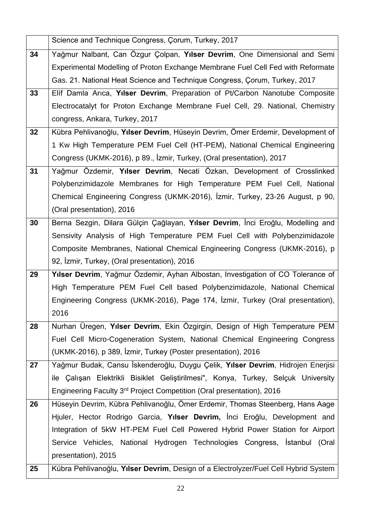|    | Science and Technique Congress, Corum, Turkey, 2017                                 |  |
|----|-------------------------------------------------------------------------------------|--|
| 34 | Yağmur Nalbant, Can Özgur Çolpan, Yılser Devrim, One Dimensional and Semi           |  |
|    | Experimental Modelling of Proton Exchange Membrane Fuel Cell Fed with Reformate     |  |
|    | Gas. 21. National Heat Science and Technique Congress, Corum, Turkey, 2017          |  |
| 33 | Elif Damla Arica, Yilser Devrim, Preparation of Pt/Carbon Nanotube Composite        |  |
|    | Electrocatalyt for Proton Exchange Membrane Fuel Cell, 29. National, Chemistry      |  |
|    | congress, Ankara, Turkey, 2017                                                      |  |
| 32 | Kübra Pehlivanoğlu, Yılser Devrim, Hüseyin Devrim, Ömer Erdemir, Development of     |  |
|    | 1 Kw High Temperature PEM Fuel Cell (HT-PEM), National Chemical Engineering         |  |
|    | Congress (UKMK-2016), p 89., İzmir, Turkey, (Oral presentation), 2017               |  |
| 31 | Yağmur Özdemir, Yılser Devrim, Necati Özkan, Development of Crosslinked             |  |
|    | Polybenzimidazole Membranes for High Temperature PEM Fuel Cell, National            |  |
|    | Chemical Engineering Congress (UKMK-2016), İzmir, Turkey, 23-26 August, p 90,       |  |
|    | (Oral presentation), 2016                                                           |  |
| 30 | Berna Sezgin, Dilara Gülçin Çağlayan, Yılser Devrim, İnci Eroğlu, Modelling and     |  |
|    | Sensivity Analysis of High Temperature PEM Fuel Cell with Polybenzimidazole         |  |
|    | Composite Membranes, National Chemical Engineering Congress (UKMK-2016), p          |  |
|    | 92, İzmir, Turkey, (Oral presentation), 2016                                        |  |
| 29 | Yılser Devrim, Yağmur Özdemir, Ayhan Albostan, Investigation of CO Tolerance of     |  |
|    | High Temperature PEM Fuel Cell based Polybenzimidazole, National Chemical           |  |
|    | Engineering Congress (UKMK-2016), Page 174, Izmir, Turkey (Oral presentation),      |  |
|    | 2016                                                                                |  |
| 28 | Nurhan Üregen, Yılser Devrim, Ekin Özgirgin, Design of High Temperature PEM         |  |
|    | Fuel Cell Micro-Cogeneration System, National Chemical Engineering Congress         |  |
|    | (UKMK-2016), p 389, Izmir, Turkey (Poster presentation), 2016                       |  |
| 27 | Yağmur Budak, Cansu İskenderoğlu, Duygu Çelik, Yılser Devrim, Hidrojen Enerjisi     |  |
|    | ile Çalışan Elektrikli Bisiklet Geliştirilmesi", Konya, Turkey, Selçuk University   |  |
|    | Engineering Faculty 3 <sup>rd</sup> Project Competition (Oral presentation), 2016   |  |
| 26 | Hüseyin Devrim, Kübra Pehlivanoğlu, Ömer Erdemir, Thomas Steenberg, Hans Aage       |  |
|    | Hjuler, Hector Rodrigo Garcia, Yılser Devrim, İnci Eroğlu, Development and          |  |
|    | Integration of 5kW HT-PEM Fuel Cell Powered Hybrid Power Station for Airport        |  |
|    | Service Vehicles, National Hydrogen Technologies Congress, Istanbul (Oral           |  |
|    | presentation), 2015                                                                 |  |
| 25 | Kübra Pehlivanoğlu, Yılser Devrim, Design of a Electrolyzer/Fuel Cell Hybrid System |  |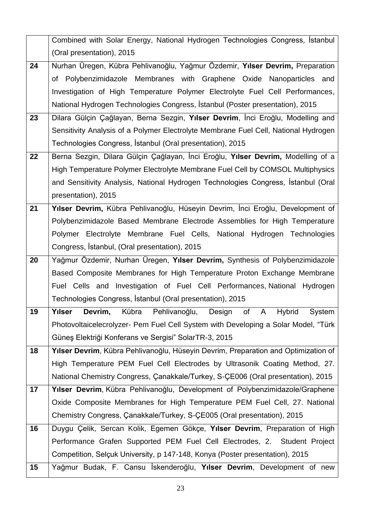|    | Combined with Solar Energy, National Hydrogen Technologies Congress, Istanbul       |  |
|----|-------------------------------------------------------------------------------------|--|
|    | (Oral presentation), 2015                                                           |  |
| 24 | Nurhan Üregen, Kübra Pehlivanoğlu, Yağmur Özdemir, Yılser Devrim, Preparation       |  |
|    | of Polybenzimidazole Membranes with Graphene Oxide Nanoparticles and                |  |
|    | Investigation of High Temperature Polymer Electrolyte Fuel Cell Performances,       |  |
|    | National Hydrogen Technologies Congress, Istanbul (Poster presentation), 2015       |  |
| 23 | Dilara Gülçin Çağlayan, Berna Sezgin, Yılser Devrim, İnci Eroğlu, Modelling and     |  |
|    | Sensitivity Analysis of a Polymer Electrolyte Membrane Fuel Cell, National Hydrogen |  |
|    | Technologies Congress, Istanbul (Oral presentation), 2015                           |  |
| 22 | Berna Sezgin, Dilara Gülçin Çağlayan, İnci Eroğlu, Yılser Devrim, Modelling of a    |  |
|    | High Temperature Polymer Electrolyte Membrane Fuel Cell by COMSOL Multiphysics      |  |
|    | and Sensitivity Analysis, National Hydrogen Technologies Congress, Istanbul (Oral   |  |
|    | presentation), 2015                                                                 |  |
| 21 | Yılser Devrim, Kübra Pehlivanoğlu, Hüseyin Devrim, İnci Eroğlu, Development of      |  |
|    | Polybenzimidazole Based Membrane Electrode Assemblies for High Temperature          |  |
|    | Electrolyte Membrane Fuel Cells, National Hydrogen Technologies<br>Polymer          |  |
|    | Congress, Istanbul, (Oral presentation), 2015                                       |  |
| 20 | Yağmur Özdemir, Nurhan Üregen, Yılser Devrim, Synthesis of Polybenzimidazole        |  |
|    | Based Composite Membranes for High Temperature Proton Exchange Membrane             |  |
|    | Fuel Cells and Investigation of Fuel Cell Performances, National Hydrogen           |  |
|    | Technologies Congress, İstanbul (Oral presentation), 2015                           |  |
| 19 | Yılser Devrim, Kübra Pehlivanoğlu, Design of A Hybrid System                        |  |
|    | Photovoltaicelecrolyzer- Pem Fuel Cell System with Developing a Solar Model, "Türk  |  |
|    | Güneş Elektriği Konferans ve Sergisi" SolarTR-3, 2015                               |  |
| 18 | Yılser Devrim, Kübra Pehlivanoğlu, Hüseyin Devrim, Preparation and Optimization of  |  |
|    | High Temperature PEM Fuel Cell Electrodes by Ultrasonik Coating Method, 27.         |  |
|    | National Chemistry Congress, Canakkale/Turkey, S-CE006 (Oral presentation), 2015    |  |
| 17 | Yılser Devrim, Kübra Pehlivanoğlu, Development of Polybenzimidazole/Graphene        |  |
|    | Oxide Composite Membranes for High Temperature PEM Fuel Cell, 27. National          |  |
|    | Chemistry Congress, Canakkale/Turkey, S-CE005 (Oral presentation), 2015             |  |
| 16 | Duygu Çelik, Sercan Kolik, Egemen Gökçe, Yılser Devrim, Preparation of High         |  |
|    | Performance Grafen Supported PEM Fuel Cell Electrodes, 2. Student Project           |  |
|    | Competition, Selçuk University, p 147-148, Konya (Poster presentation), 2015        |  |
| 15 | Yağmur Budak, F. Cansu İskenderoğlu, Yılser Devrim, Development of new              |  |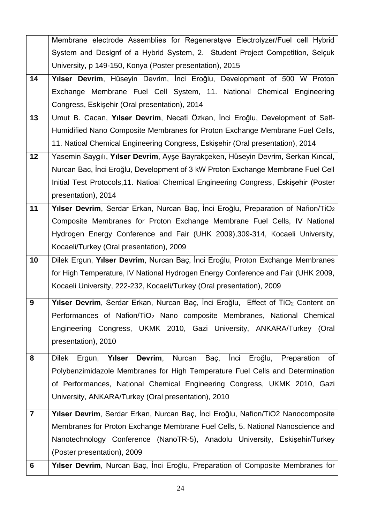|                | Membrane electrode Assemblies for Regeneratsve Electrolyzer/Fuel cell Hybrid                    |  |
|----------------|-------------------------------------------------------------------------------------------------|--|
|                | System and Designf of a Hybrid System, 2. Student Project Competition, Selçuk                   |  |
|                | University, p 149-150, Konya (Poster presentation), 2015                                        |  |
| 14             | Yılser Devrim, Hüseyin Devrim, İnci Eroğlu, Development of 500 W Proton                         |  |
|                | Exchange Membrane Fuel Cell System, 11. National Chemical Engineering                           |  |
|                | Congress, Eskişehir (Oral presentation), 2014                                                   |  |
| 13             | Umut B. Cacan, Yılser Devrim, Necati Özkan, İnci Eroğlu, Development of Self-                   |  |
|                | Humidified Nano Composite Membranes for Proton Exchange Membrane Fuel Cells,                    |  |
|                | 11. Natioal Chemical Engineering Congress, Eskisehir (Oral presentation), 2014                  |  |
| 12             | Yasemin Saygılı, Yılser Devrim, Ayşe Bayrakçeken, Hüseyin Devrim, Serkan Kıncal,                |  |
|                | Nurcan Bac, İnci Eroğlu, Development of 3 kW Proton Exchange Membrane Fuel Cell                 |  |
|                | Initial Test Protocols, 11. Natioal Chemical Engineering Congress, Eskişehir (Poster            |  |
|                | presentation), 2014                                                                             |  |
| 11             | Yılser Devrim, Serdar Erkan, Nurcan Baç, İnci Eroğlu, Preparation of Nafion/TiO <sub>2</sub>    |  |
|                | Composite Membranes for Proton Exchange Membrane Fuel Cells, IV National                        |  |
|                | Hydrogen Energy Conference and Fair (UHK 2009), 309-314, Kocaeli University,                    |  |
|                | Kocaeli/Turkey (Oral presentation), 2009                                                        |  |
| 10             | Dilek Ergun, Yılser Devrim, Nurcan Baç, İnci Eroğlu, Proton Exchange Membranes                  |  |
|                | for High Temperature, IV National Hydrogen Energy Conference and Fair (UHK 2009,                |  |
|                | Kocaeli University, 222-232, Kocaeli/Turkey (Oral presentation), 2009                           |  |
| 9              | Yılser Devrim, Serdar Erkan, Nurcan Baç, İnci Eroğlu, Effect of TiO <sub>2</sub> Content on     |  |
|                | Performances of Nafion/TiO <sub>2</sub> Nano composite Membranes, National Chemical             |  |
|                | Engineering Congress, UKMK 2010, Gazi University, ANKARA/Turkey (Oral                           |  |
|                | presentation), 2010                                                                             |  |
| 8              | Ergun, Yılser<br>Devrim, Nurcan<br>Inci<br>Eroğlu,<br><b>Dilek</b><br>Baç,<br>Preparation<br>of |  |
|                | Polybenzimidazole Membranes for High Temperature Fuel Cells and Determination                   |  |
|                | of Performances, National Chemical Engineering Congress, UKMK 2010, Gazi                        |  |
|                | University, ANKARA/Turkey (Oral presentation), 2010                                             |  |
| $\overline{7}$ | Yılser Devrim, Serdar Erkan, Nurcan Baç, İnci Eroğlu, Nafion/TiO2 Nanocomposite                 |  |
|                | Membranes for Proton Exchange Membrane Fuel Cells, 5. National Nanoscience and                  |  |
|                | Nanotechnology Conference (NanoTR-5), Anadolu University, Eskişehir/Turkey                      |  |
|                | (Poster presentation), 2009                                                                     |  |
| 6              | Yilser Devrim, Nurcan Baç, İnci Eroğlu, Preparation of Composite Membranes for                  |  |
|                |                                                                                                 |  |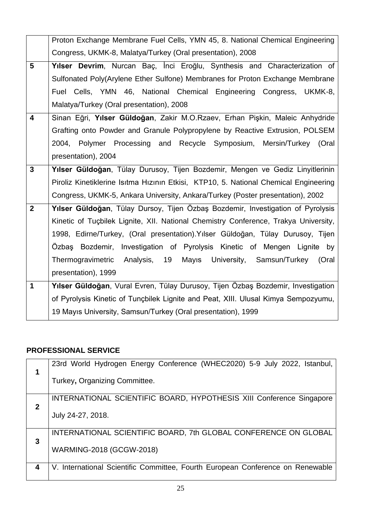|                         | Proton Exchange Membrane Fuel Cells, YMN 45, 8. National Chemical Engineering        |
|-------------------------|--------------------------------------------------------------------------------------|
|                         | Congress, UKMK-8, Malatya/Turkey (Oral presentation), 2008                           |
| 5                       | Yılser Devrim, Nurcan Baç, İnci Eroğlu, Synthesis and Characterization of            |
|                         | Sulfonated Poly(Arylene Ether Sulfone) Membranes for Proton Exchange Membrane        |
|                         | Fuel Cells, YMN 46, National Chemical Engineering Congress, UKMK-8,                  |
|                         | Malatya/Turkey (Oral presentation), 2008                                             |
| $\overline{\mathbf{4}}$ | Sinan Eğri, Yılser Güldoğan, Zakir M.O.Rzaev, Erhan Pişkin, Maleic Anhydride         |
|                         | Grafting onto Powder and Granule Polypropylene by Reactive Extrusion, POLSEM         |
|                         | 2004, Polymer Processing and Recycle Symposium, Mersin/Turkey (Oral                  |
|                         | presentation), 2004                                                                  |
| $\mathbf{3}$            | Yılser Güldoğan, Tülay Durusoy, Tijen Bozdemir, Mengen ve Gediz Linyitlerinin        |
|                         | Piroliz Kinetiklerine Isitma Hizinin Etkisi, KTP10, 5. National Chemical Engineering |
|                         | Congress, UKMK-5, Ankara University, Ankara/Turkey (Poster presentation), 2002       |
| $\mathbf{2}$            | Yılser Güldoğan, Tülay Dursoy, Tijen Özbaş Bozdemir, Investigation of Pyrolysis      |
|                         | Kinetic of Tuçbilek Lignite, XII. National Chemistry Conference, Trakya University,  |
|                         | 1998, Edirne/Turkey, (Oral presentation). Yılser Güldoğan, Tülay Durusoy, Tijen      |
|                         | Özbaş Bozdemir, Investigation of Pyrolysis Kinetic of Mengen Lignite by              |
|                         | Thermogravimetric<br>Analysis, 19 Mayıs<br>University, Samsun/Turkey<br>(Oral        |
|                         | presentation), 1999                                                                  |
| $\mathbf 1$             | Yılser Güldoğan, Vural Evren, Tülay Durusoy, Tijen Özbaş Bozdemir, Investigation     |
|                         | of Pyrolysis Kinetic of Tunçbilek Lignite and Peat, XIII. Ulusal Kimya Sempozyumu,   |
|                         | 19 Mayıs University, Samsun/Turkey (Oral presentation), 1999                         |

### **PROFESSIONAL SERVICE**

| 23rd World Hydrogen Energy Conference (WHEC2020) 5-9 July 2022, Istanbul,      |
|--------------------------------------------------------------------------------|
| Turkey, Organizing Committee.                                                  |
| INTERNATIONAL SCIENTIFIC BOARD, HYPOTHESIS XIII Conference Singapore           |
| July 24-27, 2018.                                                              |
| INTERNATIONAL SCIENTIFIC BOARD, 7th GLOBAL CONFERENCE ON GLOBAL                |
| WARMING-2018 (GCGW-2018)                                                       |
| V. International Scientific Committee, Fourth European Conference on Renewable |
|                                                                                |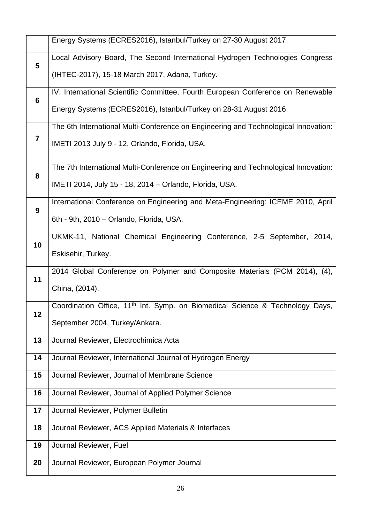|    | Energy Systems (ECRES2016), Istanbul/Turkey on 27-30 August 2017.                         |
|----|-------------------------------------------------------------------------------------------|
| 5  | Local Advisory Board, The Second International Hydrogen Technologies Congress             |
|    | (IHTEC-2017), 15-18 March 2017, Adana, Turkey.                                            |
| 6  | IV. International Scientific Committee, Fourth European Conference on Renewable           |
|    | Energy Systems (ECRES2016), Istanbul/Turkey on 28-31 August 2016.                         |
|    | The 6th International Multi-Conference on Engineering and Technological Innovation:       |
| 7  | IMETI 2013 July 9 - 12, Orlando, Florida, USA.                                            |
| 8  | The 7th International Multi-Conference on Engineering and Technological Innovation:       |
|    | IMETI 2014, July 15 - 18, 2014 - Orlando, Florida, USA.                                   |
| 9  | International Conference on Engineering and Meta-Engineering: ICEME 2010, April           |
|    | 6th - 9th, 2010 - Orlando, Florida, USA.                                                  |
| 10 | UKMK-11, National Chemical Engineering Conference, 2-5 September, 2014,                   |
|    | Eskisehir, Turkey.                                                                        |
| 11 | 2014 Global Conference on Polymer and Composite Materials (PCM 2014), (4),                |
|    | China, (2014).                                                                            |
| 12 | Coordination Office, 11 <sup>th</sup> Int. Symp. on Biomedical Science & Technology Days, |
|    | September 2004, Turkey/Ankara.                                                            |
| 13 | Journal Reviewer, Electrochimica Acta                                                     |
| 14 | Journal Reviewer, International Journal of Hydrogen Energy                                |
| 15 | Journal Reviewer, Journal of Membrane Science                                             |
| 16 | Journal Reviewer, Journal of Applied Polymer Science                                      |
| 17 | Journal Reviewer, Polymer Bulletin                                                        |
| 18 | Journal Reviewer, ACS Applied Materials & Interfaces                                      |
| 19 | Journal Reviewer, Fuel                                                                    |
| 20 | Journal Reviewer, European Polymer Journal                                                |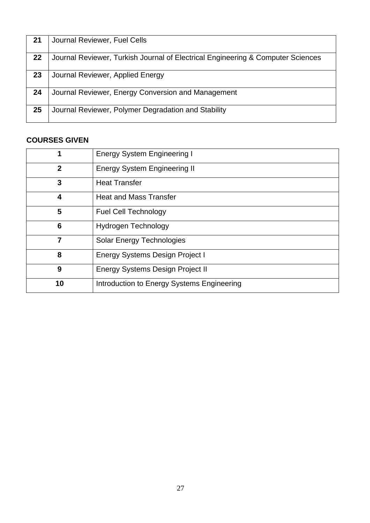| 21 | Journal Reviewer, Fuel Cells                                                    |
|----|---------------------------------------------------------------------------------|
| 22 | Journal Reviewer, Turkish Journal of Electrical Engineering & Computer Sciences |
| 23 | Journal Reviewer, Applied Energy                                                |
| 24 | Journal Reviewer, Energy Conversion and Management                              |
| 25 | Journal Reviewer, Polymer Degradation and Stability                             |

### **COURSES GIVEN**

| 1            | <b>Energy System Engineering I</b>         |
|--------------|--------------------------------------------|
| $\mathbf{2}$ | <b>Energy System Engineering II</b>        |
| 3            | <b>Heat Transfer</b>                       |
| 4            | <b>Heat and Mass Transfer</b>              |
| 5            | <b>Fuel Cell Technology</b>                |
| 6            | Hydrogen Technology                        |
| 7            | Solar Energy Technologies                  |
| 8            | <b>Energy Systems Design Project I</b>     |
| 9            | <b>Energy Systems Design Project II</b>    |
| 10           | Introduction to Energy Systems Engineering |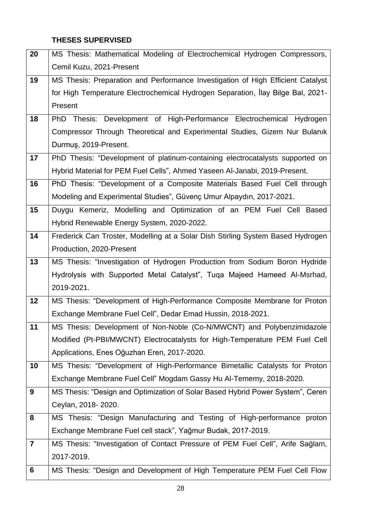### **THESES SUPERVISED**

| 20             | MS Thesis: Mathematical Modeling of Electrochemical Hydrogen Compressors,       |  |
|----------------|---------------------------------------------------------------------------------|--|
|                | Cemil Kuzu, 2021-Present                                                        |  |
| 19             | MS Thesis: Preparation and Performance Investigation of High Efficient Catalyst |  |
|                | for High Temperature Electrochemical Hydrogen Separation, Ilay Bilge Bal, 2021- |  |
|                | Present                                                                         |  |
| 18             | Thesis: Development of High-Performance Electrochemical Hydrogen<br><b>PhD</b>  |  |
|                | Compressor Through Theoretical and Experimental Studies, Gizem Nur Bulanık      |  |
|                | Durmuş, 2019-Present.                                                           |  |
| 17             | PhD Thesis: "Development of platinum-containing electrocatalysts supported on   |  |
|                | Hybrid Material for PEM Fuel Cells", Ahmed Yaseen Al-Janabi, 2019-Present.      |  |
| 16             | PhD Thesis: "Development of a Composite Materials Based Fuel Cell through       |  |
|                | Modeling and Experimental Studies", Güvenç Umur Alpaydın, 2017-2021.            |  |
| 15             | Duygu Kemeriz, Modelling and Optimization of an PEM Fuel Cell Based             |  |
|                | Hybrid Renewable Energy System, 2020-2022.                                      |  |
| 14             | Frederick Can Troster, Modelling at a Solar Dish Stirling System Based Hydrogen |  |
|                | Production, 2020-Present                                                        |  |
| 13             | MS Thesis: "Investigation of Hydrogen Production from Sodium Boron Hydride      |  |
|                | Hydrolysis with Supported Metal Catalyst", Tuqa Majeed Hameed Al-Msrhad,        |  |
|                | 2019-2021.                                                                      |  |
| 12             | MS Thesis: "Development of High-Performance Composite Membrane for Proton       |  |
|                | Exchange Membrane Fuel Cell", Dedar Emad Hussin, 2018-2021.                     |  |
| 11             | MS Thesis: Development of Non-Noble (Co-N/MWCNT) and Polybenzimidazole          |  |
|                | Modified (Pt-PBI/MWCNT) Electrocatalysts for High-Temperature PEM Fuel Cell     |  |
|                | Applications, Enes Oğuzhan Eren, 2017-2020.                                     |  |
| 10             | MS Thesis: "Development of High-Performance Bimetallic Catalysts for Proton     |  |
|                | Exchange Membrane Fuel Cell" Mogdam Gassy Hu Al-Tememy, 2018-2020.              |  |
| 9              | MS Thesis: "Design and Optimization of Solar Based Hybrid Power System", Ceren  |  |
|                | Ceylan, 2018-2020.                                                              |  |
| 8              | MS Thesis: "Design Manufacturing and Testing of High-performance proton         |  |
|                | Exchange Membrane Fuel cell stack", Yağmur Budak, 2017-2019.                    |  |
| $\overline{7}$ | MS Thesis: "Investigation of Contact Pressure of PEM Fuel Cell", Arife Sağlam,  |  |
|                | 2017-2019.                                                                      |  |
| 6              | MS Thesis: "Design and Development of High Temperature PEM Fuel Cell Flow       |  |